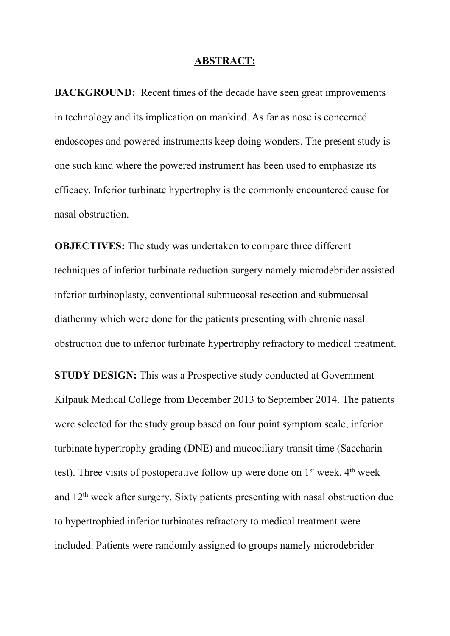## **ABSTRACT:**

**BACKGROUND:** Recent times of the decade have seen great improvements in technology and its implication on mankind. As far as nose is concerned endoscopes and powered instruments keep doing wonders. The present study is one such kind where the powered instrument has been used to emphasize its efficacy. Inferior turbinate hypertrophy is the commonly encountered cause for nasal obstruction.

**OBJECTIVES:** The study was undertaken to compare three different techniques of inferior turbinate reduction surgery namely microdebrider assisted inferior turbinoplasty, conventional submucosal resection and submucosal diathermy which were done for the patients presenting with chronic nasal obstruction due to inferior turbinate hypertrophy refractory to medical treatment.

**STUDY DESIGN:** This was a Prospective study conducted at Government Kilpauk Medical College from December 2013 to September 2014. The patients were selected for the study group based on four point symptom scale, inferior turbinate hypertrophy grading (DNE) and mucociliary transit time (Saccharin test). Three visits of postoperative follow up were done on  $1<sup>st</sup>$  week,  $4<sup>th</sup>$  week and 12th week after surgery. Sixty patients presenting with nasal obstruction due to hypertrophied inferior turbinates refractory to medical treatment were included. Patients were randomly assigned to groups namely microdebrider